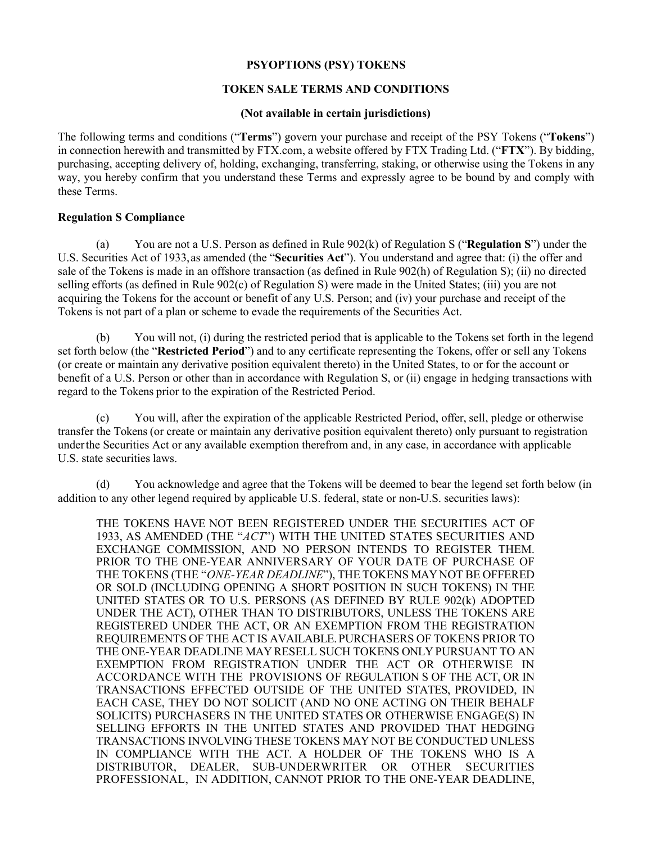## **PSYOPTIONS (PSY) TOKENS**

# **TOKEN SALE TERMS AND CONDITIONS**

### **(Not available in certain jurisdictions)**

The following terms and conditions ("**Terms**") govern your purchase and receipt of the PSY Tokens ("**Tokens**") in connection herewith and transmitted by FTX.com, a website offered by FTX Trading Ltd. ("**FTX**"). By bidding, purchasing, accepting delivery of, holding, exchanging, transferring, staking, or otherwise using the Tokens in any way, you hereby confirm that you understand these Terms and expressly agree to be bound by and comply with these Terms.

## **Regulation S Compliance**

(a) You are not a U.S. Person as defined in Rule 902(k) of Regulation S ("**Regulation S**") under the U.S. Securities Act of 1933,as amended (the "**Securities Act**"). You understand and agree that: (i) the offer and sale of the Tokens is made in an offshore transaction (as defined in Rule 902(h) of Regulation S); (ii) no directed selling efforts (as defined in Rule 902(c) of Regulation S) were made in the United States; (iii) you are not acquiring the Tokens for the account or benefit of any U.S. Person; and (iv) your purchase and receipt of the Tokens is not part of a plan or scheme to evade the requirements of the Securities Act.

(b) You will not, (i) during the restricted period that is applicable to the Tokens set forth in the legend set forth below (the "**Restricted Period**") and to any certificate representing the Tokens, offer or sell any Tokens (or create or maintain any derivative position equivalent thereto) in the United States, to or for the account or benefit of a U.S. Person or other than in accordance with Regulation S, or (ii) engage in hedging transactions with regard to the Tokens prior to the expiration of the Restricted Period.

(c) You will, after the expiration of the applicable Restricted Period, offer, sell, pledge or otherwise transfer the Tokens (or create or maintain any derivative position equivalent thereto) only pursuant to registration underthe Securities Act or any available exemption therefrom and, in any case, in accordance with applicable U.S. state securities laws.

(d) You acknowledge and agree that the Tokens will be deemed to bear the legend set forth below (in addition to any other legend required by applicable U.S. federal, state or non-U.S. securities laws):

THE TOKENS HAVE NOT BEEN REGISTERED UNDER THE SECURITIES ACT OF 1933, AS AMENDED (THE "*ACT*") WITH THE UNITED STATES SECURITIES AND EXCHANGE COMMISSION, AND NO PERSON INTENDS TO REGISTER THEM. PRIOR TO THE ONE-YEAR ANNIVERSARY OF YOUR DATE OF PURCHASE OF THE TOKENS (THE "*ONE-YEAR DEADLINE*"), THE TOKENS MAY NOT BE OFFERED OR SOLD (INCLUDING OPENING A SHORT POSITION IN SUCH TOKENS) IN THE UNITED STATES OR TO U.S. PERSONS (AS DEFINED BY RULE 902(k) ADOPTED UNDER THE ACT), OTHER THAN TO DISTRIBUTORS, UNLESS THE TOKENS ARE REGISTERED UNDER THE ACT, OR AN EXEMPTION FROM THE REGISTRATION REQUIREMENTS OF THE ACT IS AVAILABLE. PURCHASERS OF TOKENS PRIOR TO THE ONE-YEAR DEADLINE MAY RESELL SUCH TOKENS ONLY PURSUANT TO AN EXEMPTION FROM REGISTRATION UNDER THE ACT OR OTHERWISE IN ACCORDANCE WITH THE PROVISIONS OF REGULATION S OF THE ACT, OR IN TRANSACTIONS EFFECTED OUTSIDE OF THE UNITED STATES, PROVIDED, IN EACH CASE, THEY DO NOT SOLICIT (AND NO ONE ACTING ON THEIR BEHALF SOLICITS) PURCHASERS IN THE UNITED STATES OR OTHERWISE ENGAGE(S) IN SELLING EFFORTS IN THE UNITED STATES AND PROVIDED THAT HEDGING TRANSACTIONS INVOLVING THESE TOKENS MAY NOT BE CONDUCTED UNLESS IN COMPLIANCE WITH THE ACT. A HOLDER OF THE TOKENS WHO IS A DISTRIBUTOR, DEALER, SUB-UNDERWRITER OR OTHER SECURITIES PROFESSIONAL, IN ADDITION, CANNOT PRIOR TO THE ONE-YEAR DEADLINE,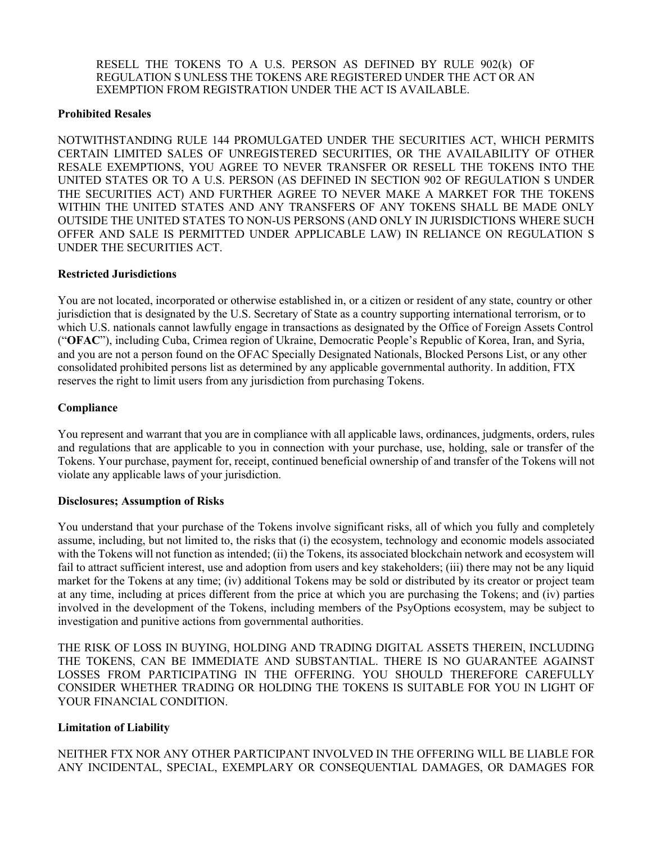RESELL THE TOKENS TO A U.S. PERSON AS DEFINED BY RULE 902(k) OF REGULATION S UNLESS THE TOKENS ARE REGISTERED UNDER THE ACT OR AN EXEMPTION FROM REGISTRATION UNDER THE ACT IS AVAILABLE.

### **Prohibited Resales**

NOTWITHSTANDING RULE 144 PROMULGATED UNDER THE SECURITIES ACT, WHICH PERMITS CERTAIN LIMITED SALES OF UNREGISTERED SECURITIES, OR THE AVAILABILITY OF OTHER RESALE EXEMPTIONS, YOU AGREE TO NEVER TRANSFER OR RESELL THE TOKENS INTO THE UNITED STATES OR TO A U.S. PERSON (AS DEFINED IN SECTION 902 OF REGULATION S UNDER THE SECURITIES ACT) AND FURTHER AGREE TO NEVER MAKE A MARKET FOR THE TOKENS WITHIN THE UNITED STATES AND ANY TRANSFERS OF ANY TOKENS SHALL BE MADE ONLY OUTSIDE THE UNITED STATES TO NON-US PERSONS (AND ONLY IN JURISDICTIONS WHERE SUCH OFFER AND SALE IS PERMITTED UNDER APPLICABLE LAW) IN RELIANCE ON REGULATION S UNDER THE SECURITIES ACT.

### **Restricted Jurisdictions**

You are not located, incorporated or otherwise established in, or a citizen or resident of any state, country or other jurisdiction that is designated by the U.S. Secretary of State as a country supporting international terrorism, or to which U.S. nationals cannot lawfully engage in transactions as designated by the Office of Foreign Assets Control ("**OFAC**"), including Cuba, Crimea region of Ukraine, Democratic People's Republic of Korea, Iran, and Syria, and you are not a person found on the OFAC Specially Designated Nationals, Blocked Persons List, or any other consolidated prohibited persons list as determined by any applicable governmental authority. In addition, FTX reserves the right to limit users from any jurisdiction from purchasing Tokens.

## **Compliance**

You represent and warrant that you are in compliance with all applicable laws, ordinances, judgments, orders, rules and regulations that are applicable to you in connection with your purchase, use, holding, sale or transfer of the Tokens. Your purchase, payment for, receipt, continued beneficial ownership of and transfer of the Tokens will not violate any applicable laws of your jurisdiction.

#### **Disclosures; Assumption of Risks**

You understand that your purchase of the Tokens involve significant risks, all of which you fully and completely assume, including, but not limited to, the risks that (i) the ecosystem, technology and economic models associated with the Tokens will not function as intended; (ii) the Tokens, its associated blockchain network and ecosystem will fail to attract sufficient interest, use and adoption from users and key stakeholders; (iii) there may not be any liquid market for the Tokens at any time; (iv) additional Tokens may be sold or distributed by its creator or project team at any time, including at prices different from the price at which you are purchasing the Tokens; and (iv) parties involved in the development of the Tokens, including members of the PsyOptions ecosystem, may be subject to investigation and punitive actions from governmental authorities.

THE RISK OF LOSS IN BUYING, HOLDING AND TRADING DIGITAL ASSETS THEREIN, INCLUDING THE TOKENS, CAN BE IMMEDIATE AND SUBSTANTIAL. THERE IS NO GUARANTEE AGAINST LOSSES FROM PARTICIPATING IN THE OFFERING. YOU SHOULD THEREFORE CAREFULLY CONSIDER WHETHER TRADING OR HOLDING THE TOKENS IS SUITABLE FOR YOU IN LIGHT OF YOUR FINANCIAL CONDITION.

## **Limitation of Liability**

NEITHER FTX NOR ANY OTHER PARTICIPANT INVOLVED IN THE OFFERING WILL BE LIABLE FOR ANY INCIDENTAL, SPECIAL, EXEMPLARY OR CONSEQUENTIAL DAMAGES, OR DAMAGES FOR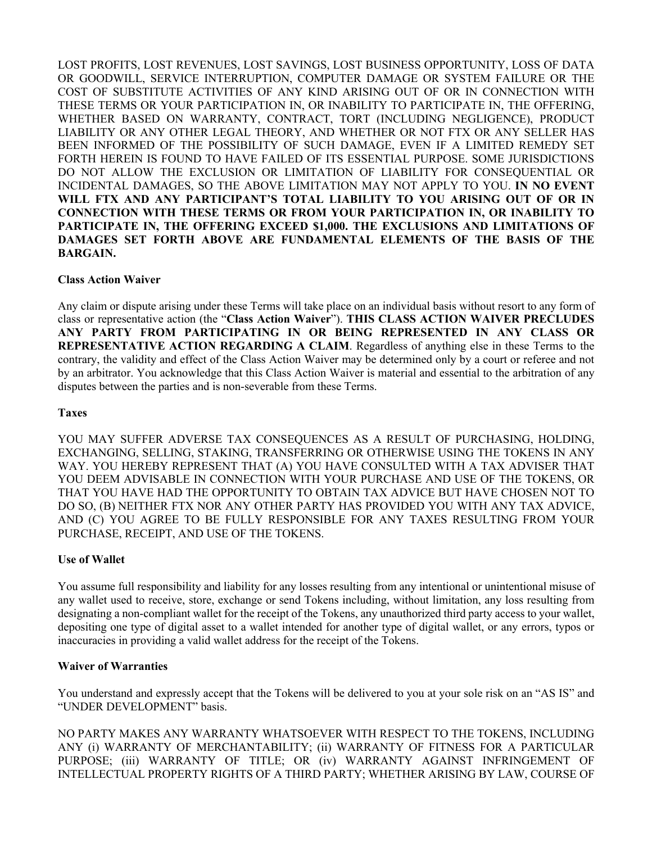LOST PROFITS, LOST REVENUES, LOST SAVINGS, LOST BUSINESS OPPORTUNITY, LOSS OF DATA OR GOODWILL, SERVICE INTERRUPTION, COMPUTER DAMAGE OR SYSTEM FAILURE OR THE COST OF SUBSTITUTE ACTIVITIES OF ANY KIND ARISING OUT OF OR IN CONNECTION WITH THESE TERMS OR YOUR PARTICIPATION IN, OR INABILITY TO PARTICIPATE IN, THE OFFERING, WHETHER BASED ON WARRANTY, CONTRACT, TORT (INCLUDING NEGLIGENCE), PRODUCT LIABILITY OR ANY OTHER LEGAL THEORY, AND WHETHER OR NOT FTX OR ANY SELLER HAS BEEN INFORMED OF THE POSSIBILITY OF SUCH DAMAGE, EVEN IF A LIMITED REMEDY SET FORTH HEREIN IS FOUND TO HAVE FAILED OF ITS ESSENTIAL PURPOSE. SOME JURISDICTIONS DO NOT ALLOW THE EXCLUSION OR LIMITATION OF LIABILITY FOR CONSEQUENTIAL OR INCIDENTAL DAMAGES, SO THE ABOVE LIMITATION MAY NOT APPLY TO YOU. **IN NO EVENT WILL FTX AND ANY PARTICIPANT'S TOTAL LIABILITY TO YOU ARISING OUT OF OR IN CONNECTION WITH THESE TERMS OR FROM YOUR PARTICIPATION IN, OR INABILITY TO PARTICIPATE IN, THE OFFERING EXCEED \$1,000. THE EXCLUSIONS AND LIMITATIONS OF DAMAGES SET FORTH ABOVE ARE FUNDAMENTAL ELEMENTS OF THE BASIS OF THE BARGAIN.**

## **Class Action Waiver**

Any claim or dispute arising under these Terms will take place on an individual basis without resort to any form of class or representative action (the "**Class Action Waiver**"). **THIS CLASS ACTION WAIVER PRECLUDES ANY PARTY FROM PARTICIPATING IN OR BEING REPRESENTED IN ANY CLASS OR REPRESENTATIVE ACTION REGARDING A CLAIM**. Regardless of anything else in these Terms to the contrary, the validity and effect of the Class Action Waiver may be determined only by a court or referee and not by an arbitrator. You acknowledge that this Class Action Waiver is material and essential to the arbitration of any disputes between the parties and is non-severable from these Terms.

### **Taxes**

YOU MAY SUFFER ADVERSE TAX CONSEQUENCES AS A RESULT OF PURCHASING, HOLDING, EXCHANGING, SELLING, STAKING, TRANSFERRING OR OTHERWISE USING THE TOKENS IN ANY WAY. YOU HEREBY REPRESENT THAT (A) YOU HAVE CONSULTED WITH A TAX ADVISER THAT YOU DEEM ADVISABLE IN CONNECTION WITH YOUR PURCHASE AND USE OF THE TOKENS, OR THAT YOU HAVE HAD THE OPPORTUNITY TO OBTAIN TAX ADVICE BUT HAVE CHOSEN NOT TO DO SO, (B) NEITHER FTX NOR ANY OTHER PARTY HAS PROVIDED YOU WITH ANY TAX ADVICE, AND (C) YOU AGREE TO BE FULLY RESPONSIBLE FOR ANY TAXES RESULTING FROM YOUR PURCHASE, RECEIPT, AND USE OF THE TOKENS.

#### **Use of Wallet**

You assume full responsibility and liability for any losses resulting from any intentional or unintentional misuse of any wallet used to receive, store, exchange or send Tokens including, without limitation, any loss resulting from designating a non-compliant wallet for the receipt of the Tokens, any unauthorized third party access to your wallet, depositing one type of digital asset to a wallet intended for another type of digital wallet, or any errors, typos or inaccuracies in providing a valid wallet address for the receipt of the Tokens.

### **Waiver of Warranties**

You understand and expressly accept that the Tokens will be delivered to you at your sole risk on an "AS IS" and "UNDER DEVELOPMENT" basis.

NO PARTY MAKES ANY WARRANTY WHATSOEVER WITH RESPECT TO THE TOKENS, INCLUDING ANY (i) WARRANTY OF MERCHANTABILITY; (ii) WARRANTY OF FITNESS FOR A PARTICULAR PURPOSE; (iii) WARRANTY OF TITLE; OR (iv) WARRANTY AGAINST INFRINGEMENT OF INTELLECTUAL PROPERTY RIGHTS OF A THIRD PARTY; WHETHER ARISING BY LAW, COURSE OF